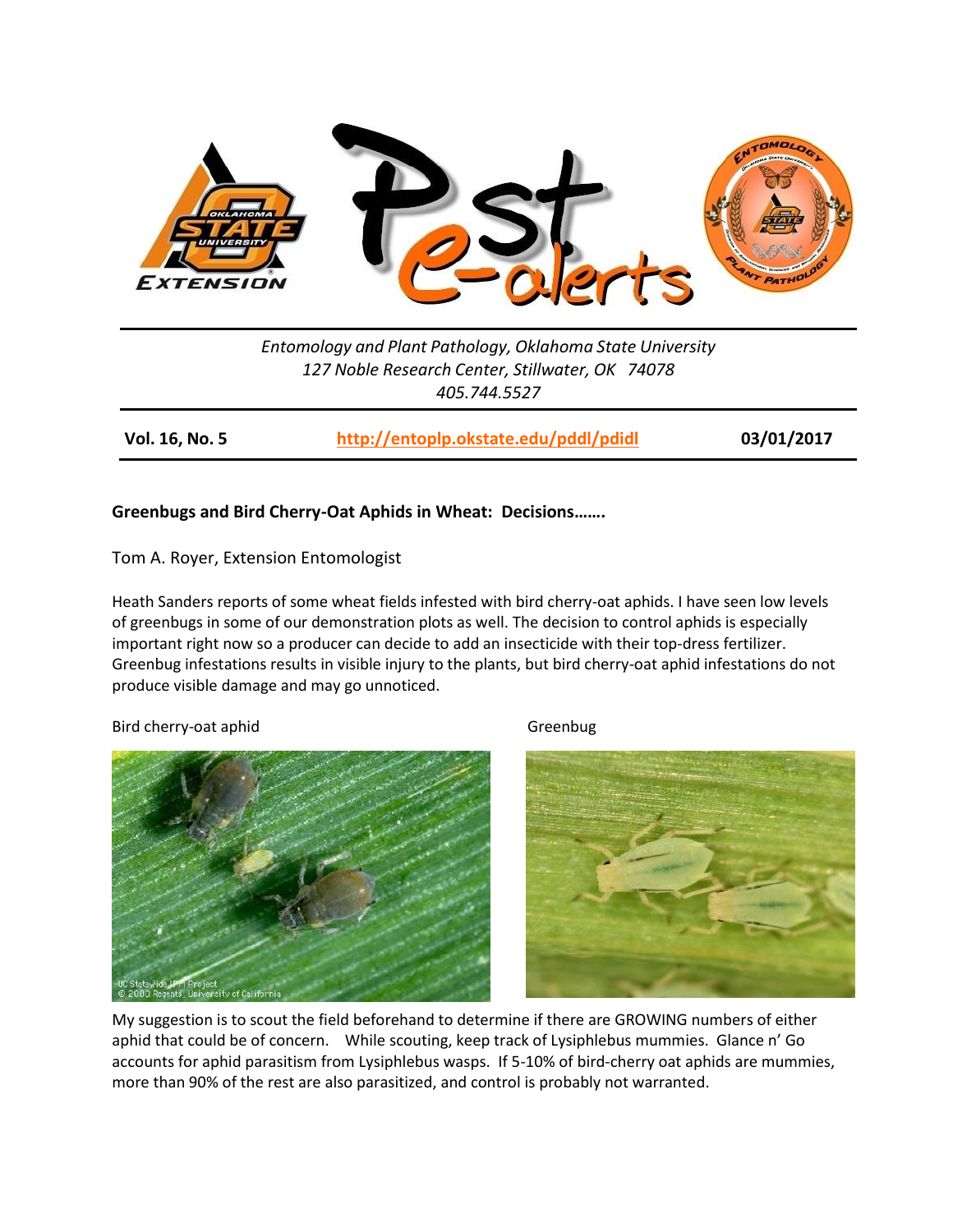

*Entomology and Plant Pathology, Oklahoma State University 127 Noble Research Center, Stillwater, OK 74078 405.744.5527*

**Vol. 16, No. 5 <http://entoplp.okstate.edu/pddl/pdidl> 03/01/2017**

## **Greenbugs and Bird Cherry-Oat Aphids in Wheat: Decisions…….**

Tom A. Royer, Extension Entomologist

Heath Sanders reports of some wheat fields infested with bird cherry-oat aphids. I have seen low levels of greenbugs in some of our demonstration plots as well. The decision to control aphids is especially important right now so a producer can decide to add an insecticide with their top-dress fertilizer. Greenbug infestations results in visible injury to the plants, but bird cherry-oat aphid infestations do not produce visible damage and may go unnoticed.

## Bird cherry-oat aphid Greenbug





My suggestion is to scout the field beforehand to determine if there are GROWING numbers of either aphid that could be of concern. While scouting, keep track of Lysiphlebus mummies. Glance n' Go accounts for aphid parasitism from Lysiphlebus wasps. If 5-10% of bird-cherry oat aphids are mummies, more than 90% of the rest are also parasitized, and control is probably not warranted.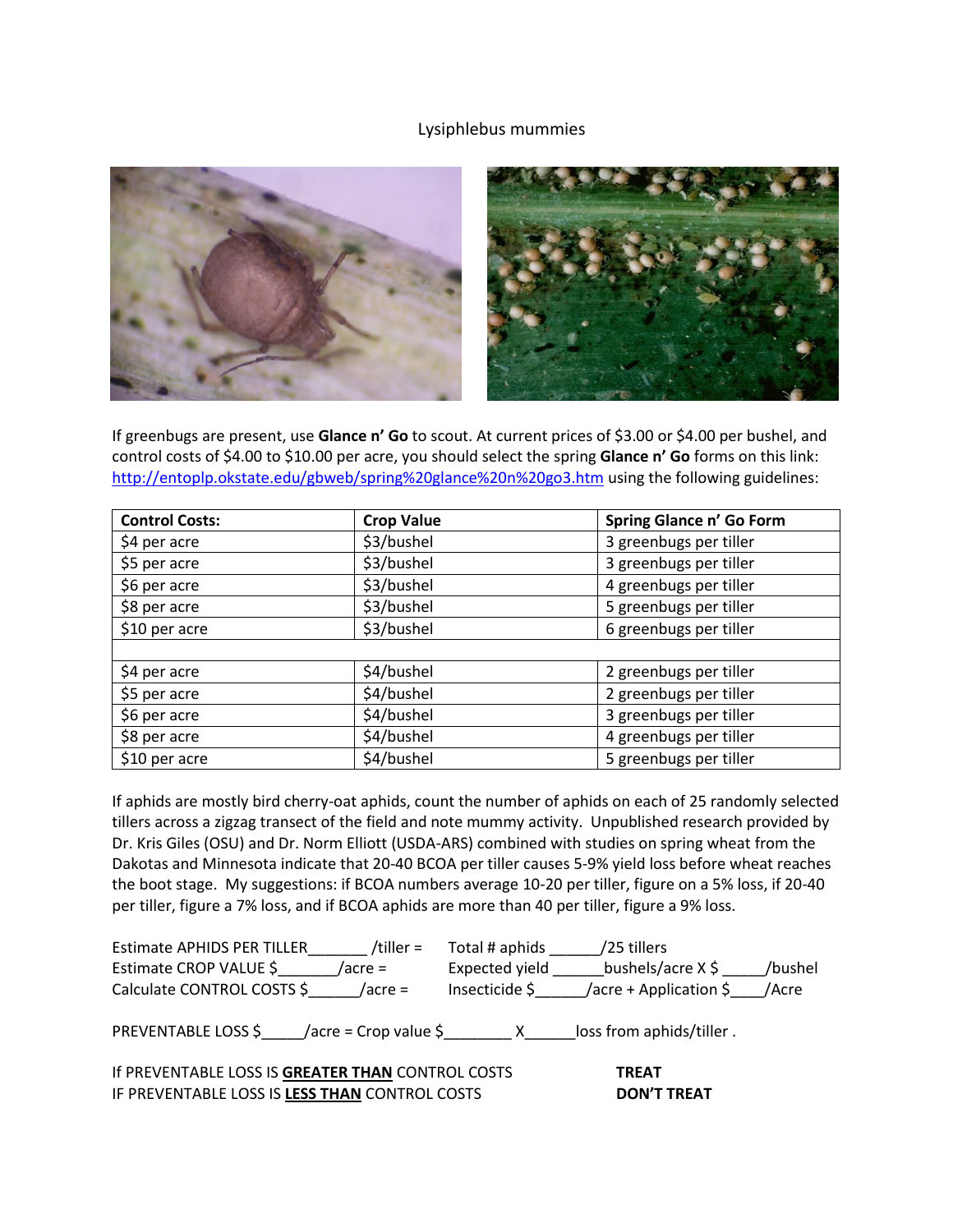## Lysiphlebus mummies



If greenbugs are present, use **Glance n' Go** to scout. At current prices of \$3.00 or \$4.00 per bushel, and control costs of \$4.00 to \$10.00 per acre, you should select the spring **Glance n' Go** forms on this link: <http://entoplp.okstate.edu/gbweb/spring%20glance%20n%20go3.htm> using the following guidelines:

| <b>Control Costs:</b> | <b>Crop Value</b> | Spring Glance n' Go Form |  |  |
|-----------------------|-------------------|--------------------------|--|--|
| \$4 per acre          | \$3/bushel        | 3 greenbugs per tiller   |  |  |
| \$5 per acre          | \$3/bushel        | 3 greenbugs per tiller   |  |  |
| \$6 per acre          | \$3/bushel        | 4 greenbugs per tiller   |  |  |
| \$8 per acre          | \$3/bushel        | 5 greenbugs per tiller   |  |  |
| \$10 per acre         | \$3/bushel        | 6 greenbugs per tiller   |  |  |
|                       |                   |                          |  |  |
| \$4 per acre          | \$4/bushel        | 2 greenbugs per tiller   |  |  |
| \$5 per acre          | \$4/bushel        | 2 greenbugs per tiller   |  |  |
| \$6 per acre          | \$4/bushel        | 3 greenbugs per tiller   |  |  |
| \$8 per acre          | \$4/bushel        | 4 greenbugs per tiller   |  |  |
| \$10 per acre         | \$4/bushel        | 5 greenbugs per tiller   |  |  |

If aphids are mostly bird cherry-oat aphids, count the number of aphids on each of 25 randomly selected tillers across a zigzag transect of the field and note mummy activity. Unpublished research provided by Dr. Kris Giles (OSU) and Dr. Norm Elliott (USDA-ARS) combined with studies on spring wheat from the Dakotas and Minnesota indicate that 20-40 BCOA per tiller causes 5-9% yield loss before wheat reaches the boot stage. My suggestions: if BCOA numbers average 10-20 per tiller, figure on a 5% loss, if 20-40 per tiller, figure a 7% loss, and if BCOA aphids are more than 40 per tiller, figure a 9% loss.

| <b>Estimate APHIDS PER TILLER</b>                                 | /tiller =  | Total # aphids | /25 tillers              |         |
|-------------------------------------------------------------------|------------|----------------|--------------------------|---------|
| Estimate CROP VALUE \$                                            | $/$ acre = | Expected yield | bushels/acre X \$        | /bushel |
| Calculate CONTROL COSTS \$                                        | /acre =    | Insecticide \$ | /acre + Application \$   | /Acre   |
| PREVENTABLE LOSS $\frac{2}{3}$ /acre = Crop value $\frac{2}{3}$ X |            |                | loss from aphids/tiller. |         |
| If PREVENTABLE LOSS IS GREATER THAN CONTROL COSTS                 |            |                | <b>TREAT</b>             |         |
| IF PREVENTABLE LOSS IS LESS THAN CONTROL COSTS                    |            |                | <b>DON'T TREAT</b>       |         |